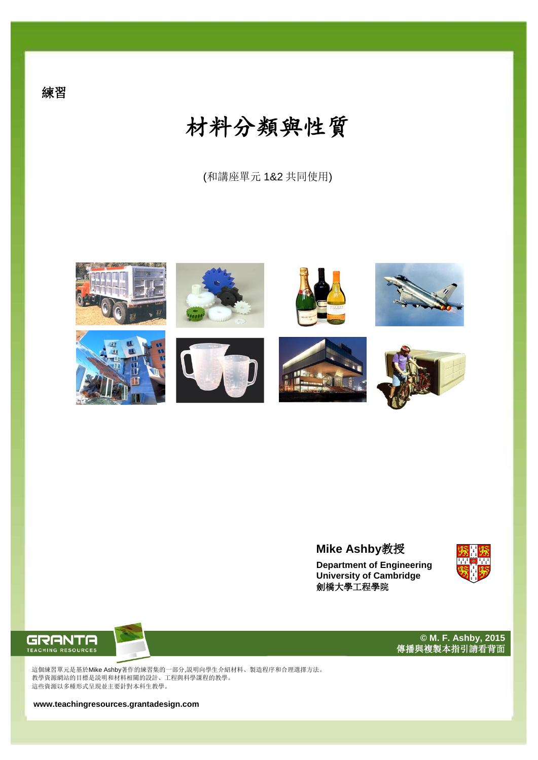(和講座單元 1&2 共同使用)



## **Mike Ashby**教授

**Department of Engineering University of Cambridge** 劍橋大學工程學院



**© M. F. Ashby, 2015** 傳播與複製本指引請看背面



這個練習單元是基於Mike Ashby著作的練習集的一部分,説明向學生介紹材料、製造程序和合理選擇方法。 教學資源網站的目標是説明和材料相關的設計、工程與科學課程的教學。 這些資源以多種形式呈現並主要針對本科生教學。

**www.teachingresources.grantadesign.com**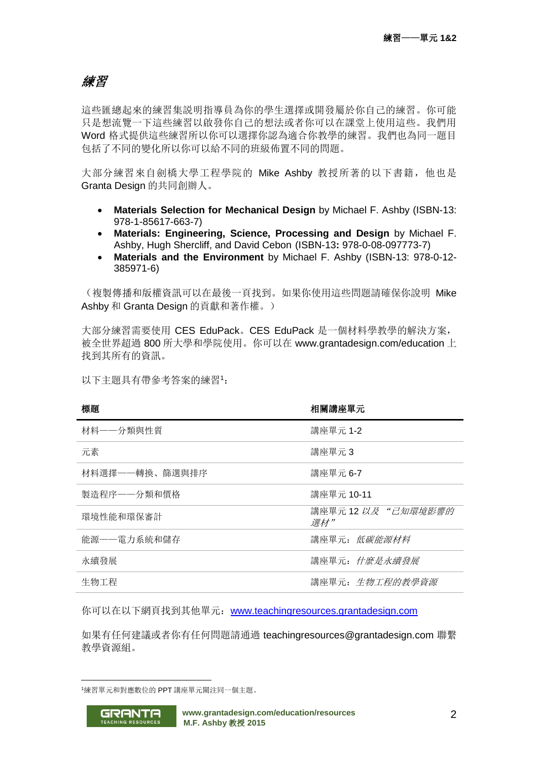# 練習

這些匯總起來的練習集説明指導員為你的學生選擇或開發屬於你自己的練習。你可能 只是想流覽一下這些練習以啟發你自己的想法或者你可以在課堂上使用這些。我們用 Word 格式提供這些練習所以你可以選擇你認為適合你教學的練習。我們也為同一題目 包括了不同的變化所以你可以給不同的班級佈置不同的問題。

大部分練習來自劍橋大學工程學院的 Mike Ashby 教授所著的以下書籍,他也是 Granta Design 的共同創辦人。

- **Materials Selection for Mechanical Design** by Michael F. Ashby (ISBN-13: 978-1-85617-663-7)
- **Materials: Engineering, Science, Processing and Design** by Michael F. Ashby, Hugh Shercliff, and David Cebon (ISBN-13**:** 978-0-08-097773-7)
- **Materials and the Environment** by Michael F. Ashby (ISBN-13: 978-0-12- 385971-6)

(複製傳播和版權資訊可以在最後一頁找到。如果你使用這些問題請確保你說明 Mike Ashby 和 Granta Design 的貢獻和著作權。)

大部分練習需要使用 CES EduPack。CES EduPack 是一個材料學教學的解決方案, 被全世界超過 800 所大學和學院使用。你可以在 www.grantadesign.com/education 上 找到其所有的資訊。

以下主題具有帶參考答案的練習<sup>1</sup>:

| 標題             | 相關講座單元                    |
|----------------|---------------------------|
| 材料——分類與性質      | 講座單元 1-2                  |
| 元素             | 講座單元3                     |
| 材料選擇——轉換、篩選與排序 | 講座單元 6-7                  |
| 製造程序——分類和價格    | 講座單元 10-11                |
| 環境性能和環保審計      | 講座單元 12 以及"己知環境影響的<br>選材" |
| 能源——電力系統和儲存    | 講座單元: 低碳能源材料              |
| 永續發展           | 講座單元: 什麼是永續發展             |
| 生物工程           | 講座單元: 生物工程的教學資源           |

你可以在以下網頁找到其他單元:[www.teachingresources.grantadesign.com](file:///C:/Users/henry.yuchi/Desktop/www.teachingresources.grantadesign.com)

如果有任何建議或者你有任何問題請通過 teachingresources@grantadesign.com 聯繫 教學資源組。

<sup>1</sup>練習單元和對應數位的 PPT 講座單元關注同一個主題。



1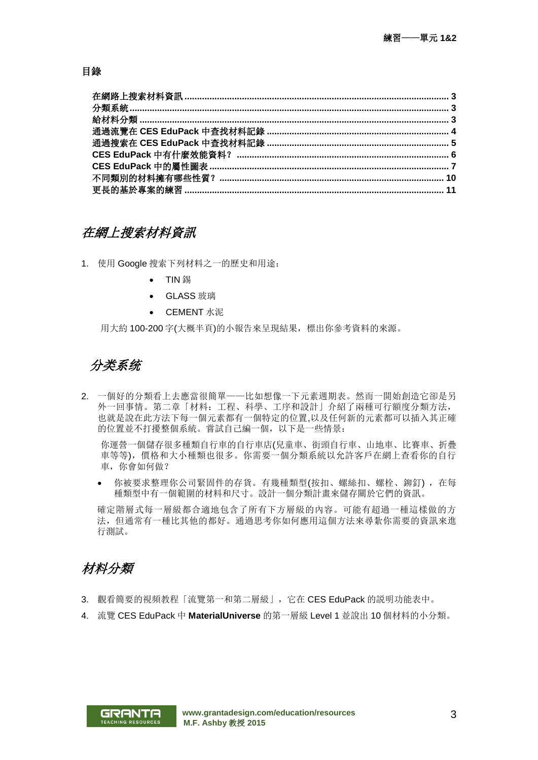#### 目錄

### 在網上搜索材料資訊

1. 使用 Google 搜索下列材料之一的歷史和用途:

- TIN 錫
- GLASS 玻璃
- CEMENT 水泥

用大約 100-200 字(大概半頁)的小報告來呈現結果,標出你參考資料的來源。

## 分类系统

2. 一個好的分類看上去應當很簡單——比如想像一下元素週期表。然而一開始創造它卻是另 外一回事情。第二章「材料:工程、科學、工序和設計」介紹了兩種可行額度分類方法, 也就是說在此方法下每一個元素都有一個特定的位置,以及任何新的元素都可以插入其正確 的位置並不打擾整個系統。嘗試自己編一個,以下是一些情景:

你運營一個儲存很多種類自行車的自行車店(兒童車、街頭自行車、山地車、比賽車、折疊 車等等),價格和大小種類也很多。你需要一個分類系統以允許客戶在網上查看你的自行 車,你會如何做?

• 你被要求整理你公司緊固件的存貨。有幾種類型(按扣、螺絲扣、螺栓、鉚釘), 在每 種類型中有一個範圍的材料和尺寸。設計一個分類計畫來儲存關於它們的資訊。

確定階層式每一層級都合適地包含了所有下方層級的內容。可能有超過一種這樣做的方 法,但通常有一種比其他的都好。通過思考你如何應用這個方法來尋紮你需要的資訊來進 行測試。

## <span id="page-2-0"></span>材料分類

- 3. 觀看簡要的視頻教程「流覽第一和第二層級」,它在 CES EduPack 的説明功能表中。
- 4. 流覽 CES EduPack 中 **MaterialUniverse** 的第一層級 Level 1 並說出 10 個材料的小分類。

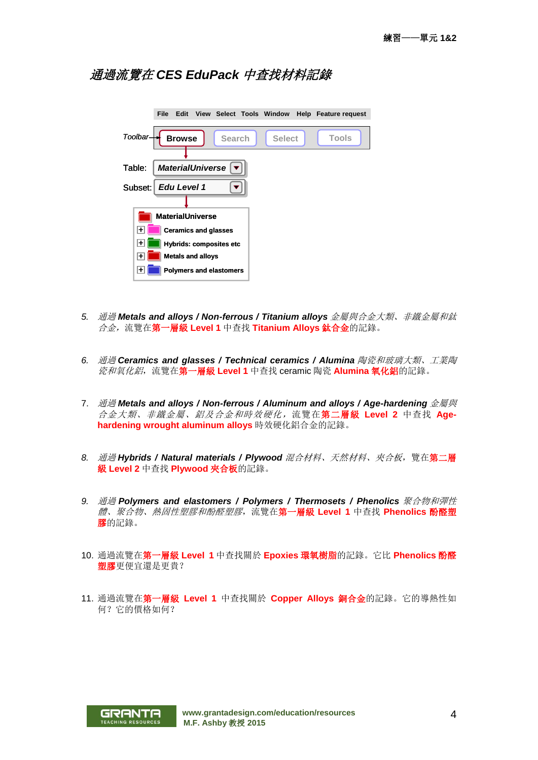### 通過流覽在 *CES EduPack* 中查找材料記錄

|         | File | Edit          |                             |                                |               | View Select Tools Window Help Feature request |
|---------|------|---------------|-----------------------------|--------------------------------|---------------|-----------------------------------------------|
| Toolbar |      | <b>Browse</b> |                             | <b>Search</b>                  | <b>Select</b> | Tools                                         |
| Table:  |      |               | <b>MaterialUniverse</b>     |                                |               |                                               |
| Subset: |      | Edu Level 1   |                             |                                |               |                                               |
|         |      |               |                             |                                |               |                                               |
|         |      |               | <b>MaterialUniverse</b>     |                                |               |                                               |
| l+      |      |               | <b>Ceramics and glasses</b> |                                |               |                                               |
| $\pm$   |      |               |                             | <b>Hybrids: composites etc</b> |               |                                               |
| ∣+      |      |               | <b>Metals and alloys</b>    |                                |               |                                               |
| ⊬       |      |               |                             | <b>Polymers and elastomers</b> |               |                                               |

- *5.* 通過 *Metals and alloys / Non-ferrous / Titanium alloys* 金屬與合金大類、非鐵金屬和鈦 合金,流覽在第一層級 **Level 1** 中查找 **Titanium Alloys** 鈦合金的記錄。
- *6.* 通過 *Ceramics and glasses / Technical ceramics / Alumina* 陶瓷和玻璃大類、工業陶 瓷和氧化鋁,流覽在第一層級 **Level 1** 中查找 ceramic 陶瓷 **Alumina** 氧化鋁的記錄。
- 7. 通過 *Metals and alloys / Non-ferrous / Aluminum and alloys / Age-hardening* 金屬與 合金大類、非鐵金屬、鋁及合金和時效硬化,流覽在第二層級 **Level 2** 中查找 **Agehardening wrought aluminum alloys** 時效硬化鋁合金的記錄。
- *8.* 通過 *Hybrids / Natural materials / Plywood* 混合材料、天然材料、夾合板,覽在第二層 級 **Level 2** 中查找 **Plywood** 夾合板的記錄。
- *9.* 通過 *Polymers and elastomers / Polymers / Thermosets / Phenolics* 聚合物和彈性 體、聚合物、熱固性塑膠和酚醛塑膠,流覽在第一層級 **Level 1** 中查找 **Phenolics** 酚醛塑 膠的記錄。
- 10. 通過流覽在第一層級 **Level 1** 中查找關於 **Epoxies** 環氧樹脂的記錄。它比 **Phenolics** 酚醛 塑膠更便宜還是更貴?
- 11. 通過流覽在第一層級 **Level 1** 中查找關於 **Copper Alloys** 銅合金的記錄。它的導熱性如 何?它的價格如何?

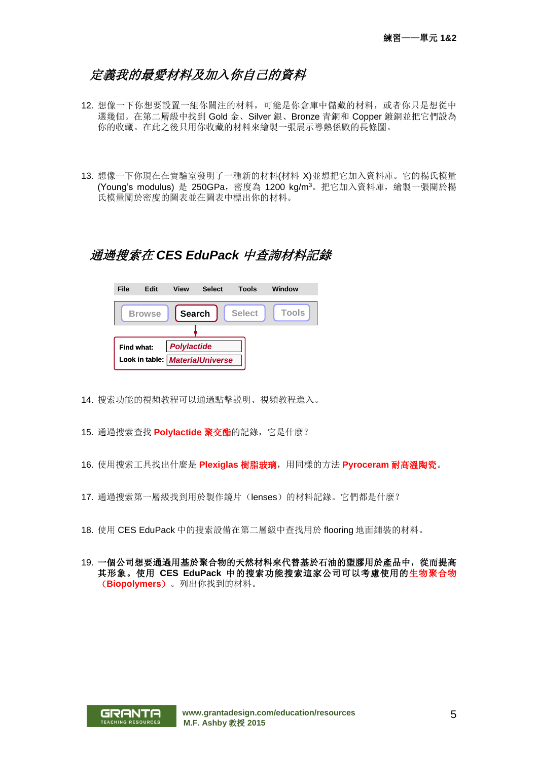## <span id="page-4-0"></span>定義我的最愛材料及加入你自己的資料

- 12. 想像一下你想要設置一組你關注的材料,可能是你倉庫中儲藏的材料,或者你只是想從中 選幾個。在第二層級中找到 Gold 金、Silver 銀、Bronze 青銅和 Copper 鍍銅並把它們設為 你的收藏。在此之後只用你收藏的材料來繪製一張展示導熱係數的長條圖。
- 13. 想像一下你現在在實驗室發明了一種新的材料(材料 X)並想把它加入資料庫。它的楊氏模量 (Young's modulus) 是 250GPa, 密度為 1200 kg/m3。把它加入資料庫, 繪製一張關於楊 氏模量關於密度的圖表並在圖表中標出你的材料。

### 通過搜索在 *CES EduPack* 中查詢材料記錄

| File       | Edit           | <b>View</b>        | <b>Select</b>           | Tools         | Window       |
|------------|----------------|--------------------|-------------------------|---------------|--------------|
|            | <b>Browse</b>  | <b>Search</b>      |                         | <b>Select</b> | <b>Tools</b> |
|            |                |                    |                         |               |              |
| Find what: |                | <b>Polylactide</b> |                         |               |              |
|            | Look in table: |                    | <b>MaterialUniverse</b> |               |              |

- 14. 搜索功能的視頻教程可以通過點擊説明、視頻教程進入。
- 15. 通過搜索查找 **Polylactide** 聚交酯的記錄,它是什麼?
- 16. 使用搜索工具找出什麼是 **Plexiglas** 樹脂玻璃,用同樣的方法 **Pyroceram** 耐高溫陶瓷。
- 17. 通過搜索第一層級找到用於製作鏡片(lenses)的材料記錄。它們都是什麼?
- 18. 使用 CES EduPack 中的搜索設備在第二層級中查找用於 flooring 地面鋪裝的材料。
- 19. 一個公司想要通過用基於聚合物的天然材料來代替基於石油的塑膠用於產品中,從而提高 其形象。使用 **CES EduPack** 中的搜索功能搜索這家公司可以考慮使用的生物聚合物 (**Biopolymers**)。列出你找到的材料。

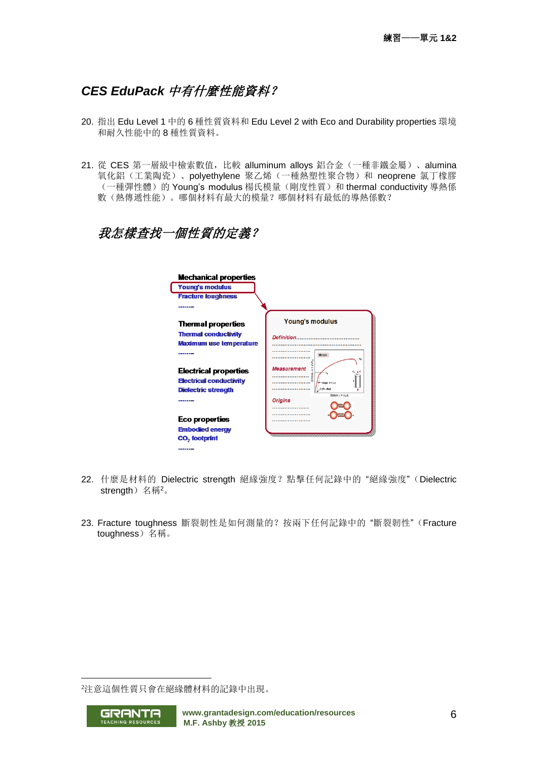## *CES EduPack* 中有什麼性能資料?

- 20. 指出 Edu Level 1 中的 6 種性質資料和 Edu Level 2 with Eco and Durability properties 環境 和耐久性能中的 8 種性質資料。
- 21. 從 CES 第一層級中檢索數值, 比較 alluminum alloys 鋁合金 (一種非鐵金屬)、alumina 氧化鋁(工業陶瓷)、polyethylene 聚乙烯(一種熱塑性聚合物)和 neoprene 氯丁橡膠 (一種彈性體)的 Young's modulus 楊氏模量(剛度性質)和 thermal conductivity 導熱係 數(熱傳遞性能)。哪個材料有最大的模量?哪個材料有最低的導熱係數?

## 我怎樣查找一個性質的定義?

| <b>Mechanical properties</b>                                   |                                     |
|----------------------------------------------------------------|-------------------------------------|
| Young's modulus                                                |                                     |
| <b>Fracture toughness</b>                                      |                                     |
|                                                                |                                     |
| <b>Thermal properties</b>                                      | Young's modulus                     |
| <b>Thermal conductivity</b><br>Maximum use temperature         |                                     |
|                                                                | Metals                              |
| <b>Electrical properties</b><br><b>Electrical conductivity</b> | <b>Measurement</b><br><b>Stress</b> |
| Dielectric strength                                            | 0.2% offset<br>Strain $x = SLA$ .   |
|                                                                | <b>Origins</b><br>.                 |
| Eco properties                                                 |                                     |
| <b>Embodied energy</b>                                         |                                     |
| CO <sub>2</sub> footprint                                      |                                     |
| -------                                                        |                                     |

- 22. 什麼是材料的 Dielectric strength 絕緣強度?點擊任何記錄中的 "絕緣強度"(Dielectric strength) 名稱<sup>2</sup>。
- 23. Fracture toughness 斷裂韌性是如何測量的?按兩下任何記錄中的 "斷裂韌性"(Fracture toughness)名稱。

<sup>2</sup>注意這個性質只會在絕緣體材料的記錄中出現。



1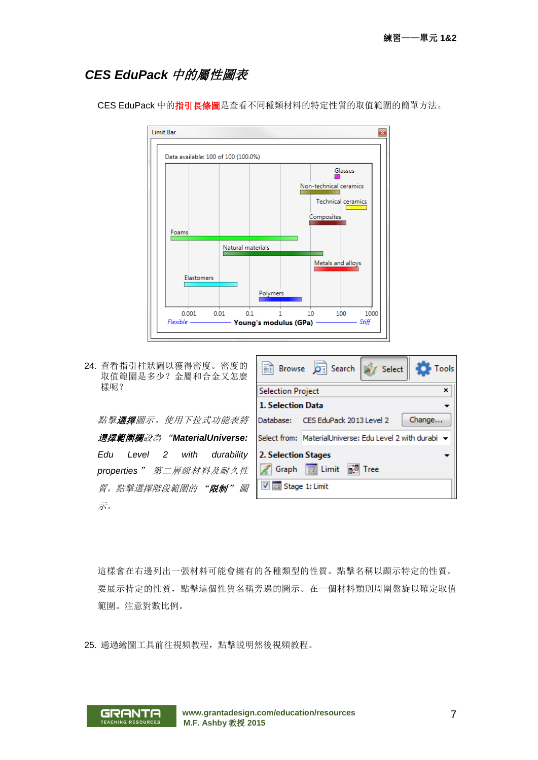### *CES EduPack* 中的屬性圖表



CES EduPack 中的指引長條圖是查看不同種類材料的特定性質的取值範圍的簡單方法。

24. 查看指引柱狀圖以獲得密度。密度的 取值範圍是多少?金屬和合金又怎麼 樣呢?

**點擊選擇**圖示。使用下拉式功能表將 選擇範圍欄設為 "*MaterialUniverse: Edu Level 2 with durability properties*" 第二層級材料及耐久性 質。點擊選擇階段範圍的 "限制" 圖 示。



這樣會在右邊列出一張材料可能會擁有的各種類型的性質。點擊名稱以顯示特定的性質。 要展示特定的性質,點擊這個性質名稱旁邊的圖示。在一個材料類別周圍盤旋以確定取值 範圍。注意對數比例。

25. 通過繪圖工具前往視頻教程,點擊説明然後視頻教程。

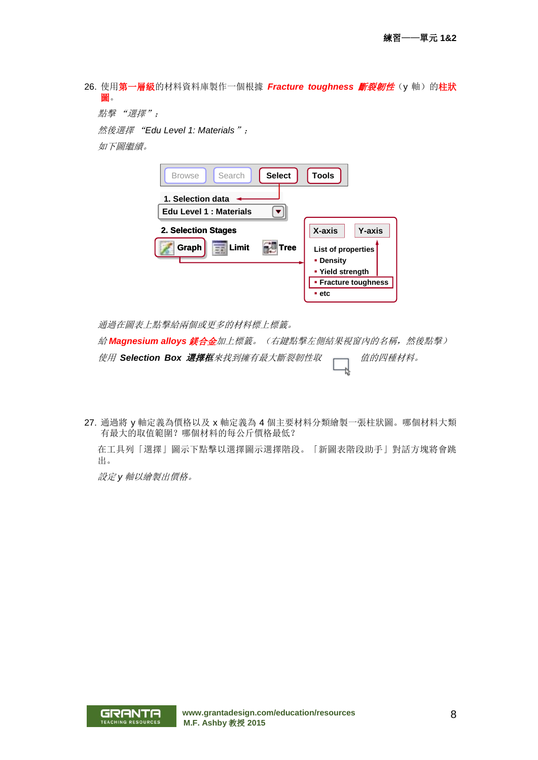26. 使用第一層級的材料資料庫製作一個根據 Fracture toughness 斷裂韌性(y軸)的柱狀 圖。

點擊 "選擇";

然後選擇 "*Edu Level 1: Materials*";

如下圖繼續。

| Search<br><b>Select</b><br><b>Browse</b> | <b>Tools</b>                                        |
|------------------------------------------|-----------------------------------------------------|
| 1. Selection data                        |                                                     |
| Edu Level 1 : Materials                  |                                                     |
| 2. Selection Stages                      | X-axis<br><b>Y-axis</b>                             |
| Limit<br>Graph<br>Tree                   | List of properties<br>• Density<br>• Yield strength |
| • Fracture toughness                     |                                                     |
|                                          | $=$ etc                                             |

通過在圖表上點擊給兩個或更多的材料標上標籤。

給 *Magnesium alloys* 鎂合金加上標籤。(右鍵點擊左側結果視窗內的名稱,然後點擊)

使用 Selection Box 選擇框來找到擁有最大斷裂韌性取 —— 值的四種材料。

27. 通過將 y 軸定義為價格以及 x 軸定義為 4 個主要材料分類繪製一張柱狀圖。哪個材料大類 有最大的取值範圍?哪個材料的每公斤價格最低?

在工具列「選擇」圖示下點擊以選擇圖示選擇階段。「新圖表階段助手」對話方塊將會跳 出。

設定 *y* 軸以繪製出價格。

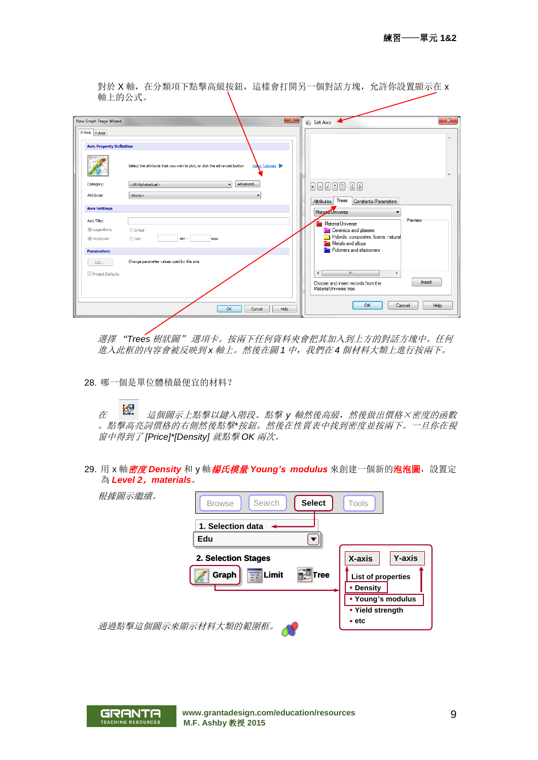對於 X 軸, 在分類項下點擊高級按鈕, 這樣會打開另一個對話方塊, 允許你設置顯示在 x 軸上的公式。

| New Graph Stage Wizard          | $\mathbf{x}$                                                                                | Set Axis                                                               | $\mathbf{x}$             |
|---------------------------------|---------------------------------------------------------------------------------------------|------------------------------------------------------------------------|--------------------------|
| X-Axis Y-Axis                   |                                                                                             |                                                                        | A.                       |
| <b>Axis Property Definition</b> |                                                                                             |                                                                        |                          |
|                                 | Video Tutorials<br>Select the attribute that you wish to plot, or click the advanced button |                                                                        | $\overline{\phantom{a}}$ |
| Category:                       | Advanced<br><all alphabetical=""><br/><math>\mathbf{v}</math></all>                         |                                                                        |                          |
| Attribute:                      | <none></none>                                                                               | Trees<br>Constants/Parameters<br>Attributes                            |                          |
| <b>Axis Settings</b>            |                                                                                             | Material Universe<br>۰                                                 |                          |
| Axis Title:                     |                                                                                             | Preview<br>MaterialUniverse                                            |                          |
| @ Logarithmic                   | <b>C</b> Linear                                                                             | <b>Ceramics and glasses</b>                                            |                          |
| @ Autoscale                     | $min -$<br>Set<br>max                                                                       | Hybrids: composites, foams, natural<br>n<br>Metals and alloys<br>÷     |                          |
| <b>Parameters</b>               |                                                                                             | Polymers and elastomers                                                |                          |
| Edit                            | Change parameter values used by this axis                                                   |                                                                        |                          |
| Project Defaults                |                                                                                             | m.<br>$\left($<br>Þ                                                    |                          |
|                                 |                                                                                             | Insert<br>Choose and insert records from the<br>Material Universe tree |                          |
|                                 | OK<br>Help<br>Cancel                                                                        | OK<br>Cancel                                                           | Help                     |

選擇 "*Trees* 樹狀圖" 選項卡。按兩下任何資料夾會把其加入到上方的對話方塊中。任何 進入此框的內容會被反映到 *x* 軸上。然後在圖 *1* 中,我們在 *4* 個材料大類上進行按兩下。

28. 哪一個是單位體積最便宜的材料?

在 這個圖示上點擊以鍵入階段。點擊 *y* 軸然後高級,然後做出價格×密度的函數 。點擊高亮詞價格的右側然後點擊*\**按鈕。然後在性質表中找到密度並按兩下。一旦你在視 窗中得到了 *[Price]\*[Density]* 就點擊 *OK* 兩次。

29. 用 x 軸 **密度 Density** 和 y 軸 **楊氏模量 Young's modulus** 來創建一個新的**泡泡圖**, 設置定 為 *Level 2*,*materials*。

| 根據圖示繼續。              | <b>Select</b><br>Search<br><b>Browse</b>                       | Tools                                                                                  |
|----------------------|----------------------------------------------------------------|----------------------------------------------------------------------------------------|
|                      | 1. Selection data<br>Edu                                       |                                                                                        |
|                      | 2. Selection Stages<br> Limit<br>Graph<br><b>El Tree</b><br>ΞĒ | X-axis<br><b>Y-axis</b><br>List of properties<br><b>• Density</b><br>• Young's modulus |
| 通過點擊這個圖示來顯示材料大類的範圍框。 |                                                                | • Yield strength<br>$=$ etc                                                            |

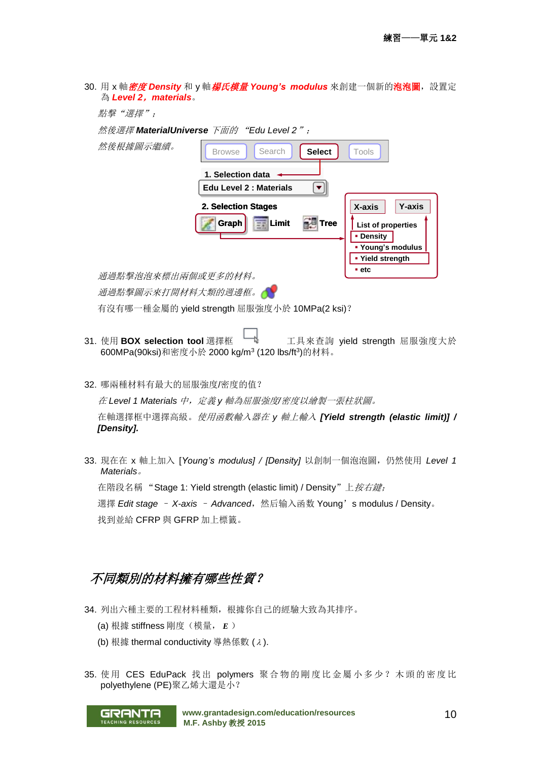|                       |  |  | 30. 用 x 軸 <i>密度 Density</i> 和 y 軸 <i>楊氏模量 Young's modulus</i> 來創建一個新的 <b>泡泡圖</b> ,設置定 |  |
|-----------------------|--|--|---------------------------------------------------------------------------------------|--|
| 為 Level 2, materials。 |  |  |                                                                                       |  |

| 點擊 "選擇":           |                                          |                                       |
|--------------------|------------------------------------------|---------------------------------------|
|                    | 然後選擇 MaterialUniverse 下面的 "Edu Level 2": |                                       |
| 然後根據圖示繼續。          | Search<br><b>Select</b><br><b>Browse</b> | Tools                                 |
|                    | 1. Selection data                        |                                       |
|                    | Edu Level 2 : Materials                  |                                       |
|                    | 2. Selection Stages                      | X-axis<br><b>Y-axis</b>               |
|                    | $E_{\rm E}$ Limit<br>Graph<br>Tree       | <b>List of properties</b>             |
|                    |                                          | • Density                             |
|                    |                                          | • Young's modulus<br>• Yield strength |
|                    |                                          | $-$ etc                               |
| 通過點擊泡泡來標出兩個或更多的材料。 |                                          |                                       |
| 通過點擊圖示來打開材料大類的週邊框。 |                                          |                                       |

有沒有哪一種金屬的 yield strength 屈服強度小於 10MPa(2 ksi)?

- 31. 使用 BOX selection tool 選擇框 Lotuly Tulk 不宜真來查詢 yield strength 屈服強度大於 600MPa(90ksi)和密度小於 2000 kg/m<sup>3</sup> (120 lbs/ft<sup>3</sup> )的材料。
- 32. 哪兩種材料有最大的屈服強度/密度的值?

在 *Level 1 Materials* 中,定義 *y* 軸為屈服強度*/*密度以繪製一張柱狀圖。

在軸選擇框中選擇高級。使用函數輸入器在 *y* 軸上輸入 *[Yield strength (elastic limit)] / [Density].*

33. 現在在 x 軸上加入 [*Young's modulus] / [Density]* 以創制一個泡泡圖,仍然使用 *Level 1 Materials*。 在階段名稱 "Stage 1: Yield strength (elastic limit) / Density"上*按右鍵;* 選擇 *Edit stage - X-axis - Advanced*, 然后输入函数 Young's modulus / Density。 找到並給 CFRP 與 GFRP 加上標籤。

# <span id="page-9-0"></span>不同類別的材料擁有哪些性質?

- 34. 列出六種主要的工程材料種類,根據你自己的經驗大致為其排序。
	- (a) 根據 stiffness 剛度(模量, *<sup>E</sup>* )
	- (b) 根據 thermal conductivity 導熱係數 ( ).
- 35. 使用 CES EduPack 找出 polymers 聚合物的剛度比金屬小多少? 木頭的密度比 polyethylene (PE)聚乙烯大還是小?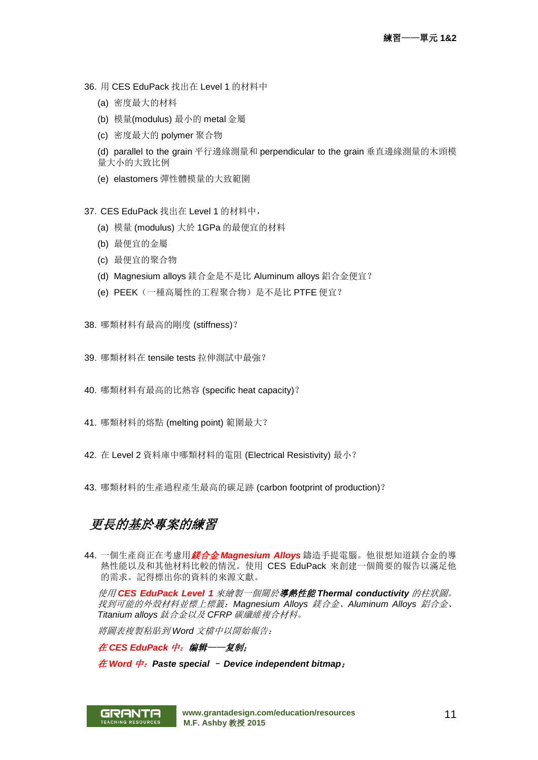- 36. 用 CES EduPack 找出在 Level 1 的材料中
	- (a) 密度最大的材料
	- (b) 模量(modulus) 最小的 metal 金屬
	- (c) 密度最大的 polymer 聚合物
	- (d) parallel to the grain 平行邊緣測量和 perpendicular to the grain 垂直邊緣測量的木頭模 量大小的大致比例
	- (e) elastomers 彈性體模量的大致範圍
- 37. CES EduPack 找出在 Level 1 的材料中,
	- (a) 模量 (modulus) 大於 1GPa 的最便宜的材料
	- (b) 最便宜的金屬
	- (c) 最便宜的聚合物
	- (d) Magnesium alloys 鎂合金是不是比 Aluminum alloys 鋁合金便宜?
	- (e) PEEK(一種高屬性的工程聚合物)是不是比 PTFE 便宜?
- 38. 哪類材料有最高的剛度 (stiffness)?
- 39. 哪類材料在 tensile tests 拉伸測試中最強?
- 40. 哪類材料有最高的比熱容 (specific heat capacity)?
- 41. 哪類材料的熔點 (melting point) 範圍最大?
- 42. 在 Level 2 資料庫中哪類材料的電阻 (Electrical Resistivity) 最小?
- 43. 哪類材料的生產過程產生最高的碳足跡 (carbon footprint of production)?

## 更長的基於專案的練習

44. 一個生產商正在考慮用鎂合金 *Magnesium Alloys* 鑄造手提電腦。他很想知道鎂合金的導 熱性能以及和其他材料比較的情況。使用 CES EduPack 來創建一個簡要的報告以滿足他 的需求。記得標出你的資料的來源文獻。

使用 *CES EduPack Level 1* 來繪製一個關於導熱性能 *Thermal conductivity* 的柱狀圖。 找到可能的外殼材料並標上標籤:*Magnesium Alloys* 鎂合金、*Aluminum Alloys* 鋁合金、 *Titanium alloys* 鈦合金以及 *CFRP* 碳纖維複合材料。

將圖表複製粘貼到 *Word* 文檔中以開始報告:

在 *CES EduPack* 中:编辑——复制;

在 *Word* 中:*Paste special* – *Device independent bitmap*;

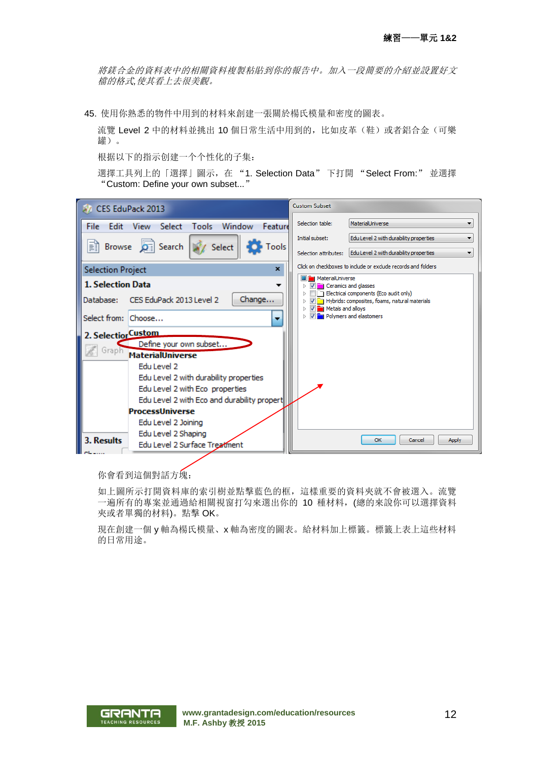將鎂合金的資料表中的相關資料複製粘貼到你的報告中。加入一段簡要的介紹並設置好文 檔的格式*,*使其看上去很美觀。

45. 使用你熟悉的物件中用到的材料來創建一張關於楊氏模量和密度的圖表。

流覽 Level 2 中的材料並挑出 10 個日常生活中用到的, 比如皮革(鞋)或者鋁合金(可樂 罐)。

根据以下的指示创建一个个性化的子集:

選擇工具列上的「選擇」圖示,在 "1. Selection Data" 下打開 "Select From:" 並選擇 "Custom: Define your own subset..."



你會看到這個對話方塊:

如上圖所示打開資料庫的索引樹並點擊藍色的框,這樣重要的資料夾就不會被選入。流覽 一遍所有的專案並通過給相關視窗打勾來選出你的 10 種材料,(總的來說你可以選擇資料 夾或者單獨的材料)。點擊 OK。

現在創建一個 y 軸為楊氏模量、x 軸為密度的圖表。給材料加上標籤。標籤上表上這些材料 的日常用途。



**[www.grantadesign.com/education/resources](http://www.grantadesign.com/education/resources) M.F. Ashby** 教授 **2015**